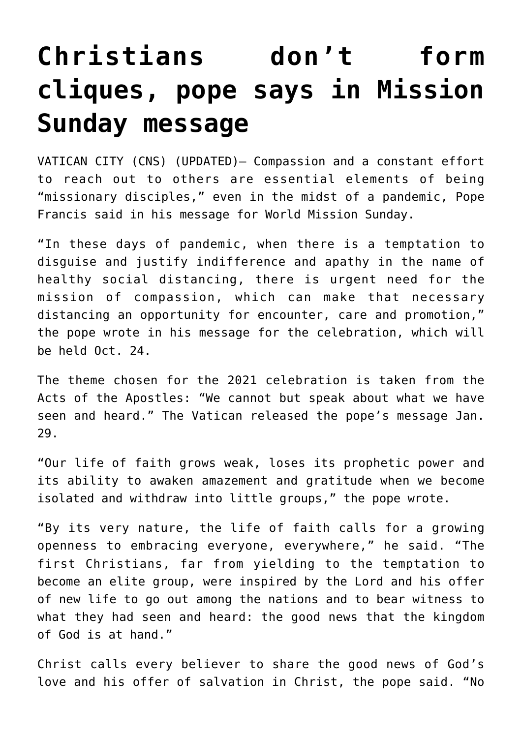## **[Christians don't form](https://www.osvnews.com/2021/01/29/christians-dont-form-cliques-pope-says-in-mission-sunday-message/) [cliques, pope says in Mission](https://www.osvnews.com/2021/01/29/christians-dont-form-cliques-pope-says-in-mission-sunday-message/) [Sunday message](https://www.osvnews.com/2021/01/29/christians-dont-form-cliques-pope-says-in-mission-sunday-message/)**

VATICAN CITY (CNS) (UPDATED)– Compassion and a constant effort to reach out to others are essential elements of being "missionary disciples," even in the midst of a pandemic, Pope Francis said in his message for World Mission Sunday.

"In these days of pandemic, when there is a temptation to disguise and justify indifference and apathy in the name of healthy social distancing, there is urgent need for the mission of compassion, which can make that necessary distancing an opportunity for encounter, care and promotion," the pope wrote in his message for the celebration, which will be held Oct. 24.

The theme chosen for the 2021 celebration is taken from the Acts of the Apostles: "We cannot but speak about what we have seen and heard." The Vatican released the pope's message Jan. 29.

"Our life of faith grows weak, loses its prophetic power and its ability to awaken amazement and gratitude when we become isolated and withdraw into little groups," the pope wrote.

"By its very nature, the life of faith calls for a growing openness to embracing everyone, everywhere," he said. "The first Christians, far from yielding to the temptation to become an elite group, were inspired by the Lord and his offer of new life to go out among the nations and to bear witness to what they had seen and heard: the good news that the kingdom of God is at hand."

Christ calls every believer to share the good news of God's love and his offer of salvation in Christ, the pope said. "No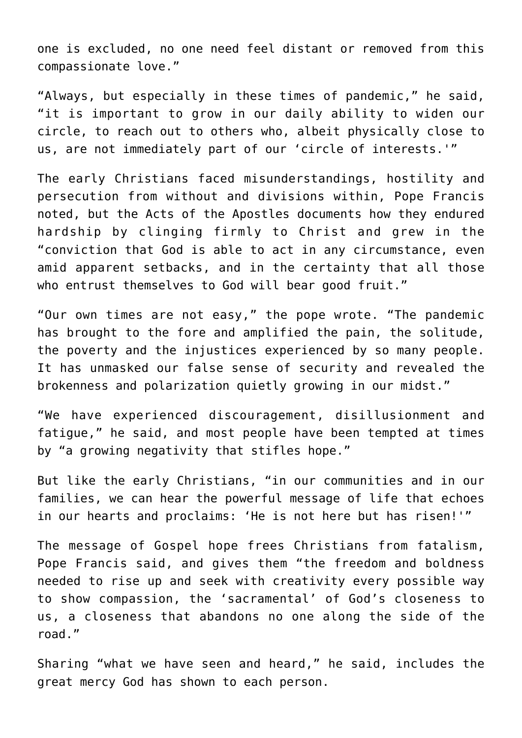one is excluded, no one need feel distant or removed from this compassionate love."

"Always, but especially in these times of pandemic," he said, "it is important to grow in our daily ability to widen our circle, to reach out to others who, albeit physically close to us, are not immediately part of our 'circle of interests.'"

The early Christians faced misunderstandings, hostility and persecution from without and divisions within, Pope Francis noted, but the Acts of the Apostles documents how they endured hardship by clinging firmly to Christ and grew in the "conviction that God is able to act in any circumstance, even amid apparent setbacks, and in the certainty that all those who entrust themselves to God will bear good fruit."

"Our own times are not easy," the pope wrote. "The pandemic has brought to the fore and amplified the pain, the solitude, the poverty and the injustices experienced by so many people. It has unmasked our false sense of security and revealed the brokenness and polarization quietly growing in our midst."

"We have experienced discouragement, disillusionment and fatigue," he said, and most people have been tempted at times by "a growing negativity that stifles hope."

But like the early Christians, "in our communities and in our families, we can hear the powerful message of life that echoes in our hearts and proclaims: 'He is not here but has risen!'"

The message of Gospel hope frees Christians from fatalism, Pope Francis said, and gives them "the freedom and boldness needed to rise up and seek with creativity every possible way to show compassion, the 'sacramental' of God's closeness to us, a closeness that abandons no one along the side of the road."

Sharing "what we have seen and heard," he said, includes the great mercy God has shown to each person.